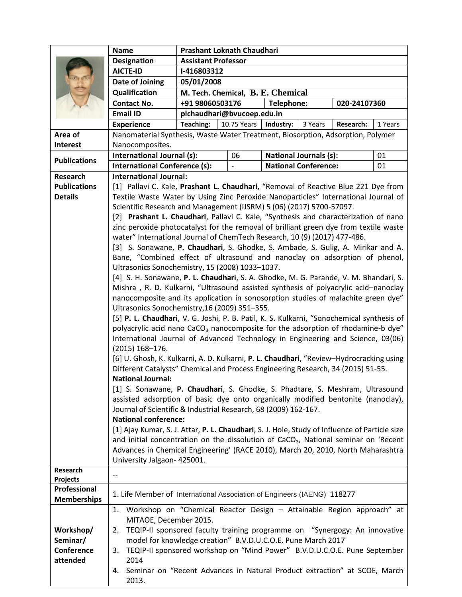|                        | <b>Name</b>                                                                                                                                | Prashant Loknath Chaudhari                                                      |             |           |                               |           |         |  |
|------------------------|--------------------------------------------------------------------------------------------------------------------------------------------|---------------------------------------------------------------------------------|-------------|-----------|-------------------------------|-----------|---------|--|
|                        | <b>Designation</b>                                                                                                                         | <b>Assistant Professor</b>                                                      |             |           |                               |           |         |  |
|                        | <b>AICTE-ID</b>                                                                                                                            | I-416803312                                                                     |             |           |                               |           |         |  |
|                        | <b>Date of Joining</b>                                                                                                                     | 05/01/2008                                                                      |             |           |                               |           |         |  |
|                        | Qualification                                                                                                                              | M. Tech. Chemical, B. E. Chemical                                               |             |           |                               |           |         |  |
|                        | <b>Contact No.</b>                                                                                                                         | +91 98060503176<br>Telephone:<br>020-24107360                                   |             |           |                               |           |         |  |
|                        | <b>Email ID</b>                                                                                                                            | plchaudhari@bvucoep.edu.in                                                      |             |           |                               |           |         |  |
|                        | <b>Experience</b>                                                                                                                          | Teaching:                                                                       | 10.75 Years | Industry: | 3 Years                       | Research: | 1 Years |  |
| Area of                | Nanomaterial Synthesis, Waste Water Treatment, Biosorption, Adsorption, Polymer                                                            |                                                                                 |             |           |                               |           |         |  |
| Interest               | Nanocomposites.                                                                                                                            |                                                                                 |             |           |                               |           |         |  |
| <b>Publications</b>    | International Journal (s):                                                                                                                 |                                                                                 | 06          |           | <b>National Journals (s):</b> |           | 01      |  |
|                        | <b>International Conference (s):</b>                                                                                                       | <b>National Conference:</b><br>01                                               |             |           |                               |           |         |  |
| Research               | <b>International Journal:</b>                                                                                                              |                                                                                 |             |           |                               |           |         |  |
| <b>Publications</b>    | [1] Pallavi C. Kale, Prashant L. Chaudhari, "Removal of Reactive Blue 221 Dye from                                                         |                                                                                 |             |           |                               |           |         |  |
| <b>Details</b>         | Textile Waste Water by Using Zinc Peroxide Nanoparticles" International Journal of                                                         |                                                                                 |             |           |                               |           |         |  |
|                        | Scientific Research and Management (IJSRM) 5 (06) (2017) 5700-57097.                                                                       |                                                                                 |             |           |                               |           |         |  |
|                        | [2] Prashant L. Chaudhari, Pallavi C. Kale, "Synthesis and characterization of nano                                                        |                                                                                 |             |           |                               |           |         |  |
|                        | zinc peroxide photocatalyst for the removal of brilliant green dye from textile waste                                                      |                                                                                 |             |           |                               |           |         |  |
|                        | water" International Journal of ChemTech Research, 10 (9) (2017) 477-486.                                                                  |                                                                                 |             |           |                               |           |         |  |
|                        | [3] S. Sonawane, P. Chaudhari, S. Ghodke, S. Ambade, S. Gulig, A. Mirikar and A.                                                           |                                                                                 |             |           |                               |           |         |  |
|                        | Bane, "Combined effect of ultrasound and nanoclay on adsorption of phenol,                                                                 |                                                                                 |             |           |                               |           |         |  |
|                        | Ultrasonics Sonochemistry, 15 (2008) 1033-1037.                                                                                            |                                                                                 |             |           |                               |           |         |  |
|                        | [4] S. H. Sonawane, P. L. Chaudhari, S. A. Ghodke, M. G. Parande, V. M. Bhandari, S.                                                       |                                                                                 |             |           |                               |           |         |  |
|                        | Mishra, R. D. Kulkarni, "Ultrasound assisted synthesis of polyacrylic acid-nanoclay                                                        |                                                                                 |             |           |                               |           |         |  |
|                        | nanocomposite and its application in sonosorption studies of malachite green dye"                                                          |                                                                                 |             |           |                               |           |         |  |
|                        | Ultrasonics Sonochemistry, 16 (2009) 351-355.<br>[5] P. L. Chaudhari, V. G. Joshi, P. B. Patil, K. S. Kulkarni, "Sonochemical synthesis of |                                                                                 |             |           |                               |           |         |  |
|                        |                                                                                                                                            |                                                                                 |             |           |                               |           |         |  |
|                        | polyacrylic acid nano CaCO <sub>3</sub> nanocomposite for the adsorption of rhodamine-b dye"                                               |                                                                                 |             |           |                               |           |         |  |
|                        | International Journal of Advanced Technology in Engineering and Science, 03(06)<br>$(2015)$ 168-176.                                       |                                                                                 |             |           |                               |           |         |  |
|                        | [6] U. Ghosh, K. Kulkarni, A. D. Kulkarni, P. L. Chaudhari, "Review-Hydrocracking using                                                    |                                                                                 |             |           |                               |           |         |  |
|                        | Different Catalysts" Chemical and Process Engineering Research, 34 (2015) 51-55.                                                           |                                                                                 |             |           |                               |           |         |  |
|                        | <b>National Journal:</b>                                                                                                                   |                                                                                 |             |           |                               |           |         |  |
|                        | [1] S. Sonawane, P. Chaudhari, S. Ghodke, S. Phadtare, S. Meshram, Ultrasound                                                              |                                                                                 |             |           |                               |           |         |  |
|                        | assisted adsorption of basic dye onto organically modified bentonite (nanoclay),                                                           |                                                                                 |             |           |                               |           |         |  |
|                        | Journal of Scientific & Industrial Research, 68 (2009) 162-167.                                                                            |                                                                                 |             |           |                               |           |         |  |
|                        | <b>National conference:</b>                                                                                                                |                                                                                 |             |           |                               |           |         |  |
|                        | [1] Ajay Kumar, S. J. Attar, P. L. Chaudhari, S. J. Hole, Study of Influence of Particle size                                              |                                                                                 |             |           |                               |           |         |  |
|                        | and initial concentration on the dissolution of CaCO <sub>3</sub> , National seminar on 'Recent                                            |                                                                                 |             |           |                               |           |         |  |
|                        | Advances in Chemical Engineering' (RACE 2010), March 20, 2010, North Maharashtra                                                           |                                                                                 |             |           |                               |           |         |  |
|                        | University Jalgaon- 425001.                                                                                                                |                                                                                 |             |           |                               |           |         |  |
| Research               |                                                                                                                                            |                                                                                 |             |           |                               |           |         |  |
| Projects               |                                                                                                                                            |                                                                                 |             |           |                               |           |         |  |
| Professional           | 1. Life Member of International Association of Engineers (IAENG) 118277                                                                    |                                                                                 |             |           |                               |           |         |  |
| <b>Memberships</b>     |                                                                                                                                            |                                                                                 |             |           |                               |           |         |  |
|                        | Workshop on "Chemical Reactor Design - Attainable Region approach" at<br>1.                                                                |                                                                                 |             |           |                               |           |         |  |
|                        | MITAOE, December 2015.                                                                                                                     |                                                                                 |             |           |                               |           |         |  |
| Workshop/              | 2.                                                                                                                                         | TEQIP-II sponsored faculty training programme on "Synergogy: An innovative      |             |           |                               |           |         |  |
| Seminar/<br>Conference | model for knowledge creation" B.V.D.U.C.O.E. Pune March 2017                                                                               |                                                                                 |             |           |                               |           |         |  |
| attended               | TEQIP-II sponsored workshop on "Mind Power" B.V.D.U.C.O.E. Pune September<br>3.                                                            |                                                                                 |             |           |                               |           |         |  |
|                        | 2014                                                                                                                                       |                                                                                 |             |           |                               |           |         |  |
|                        | 2013.                                                                                                                                      | Seminar on "Recent Advances in Natural Product extraction" at SCOE, March<br>4. |             |           |                               |           |         |  |
|                        |                                                                                                                                            |                                                                                 |             |           |                               |           |         |  |